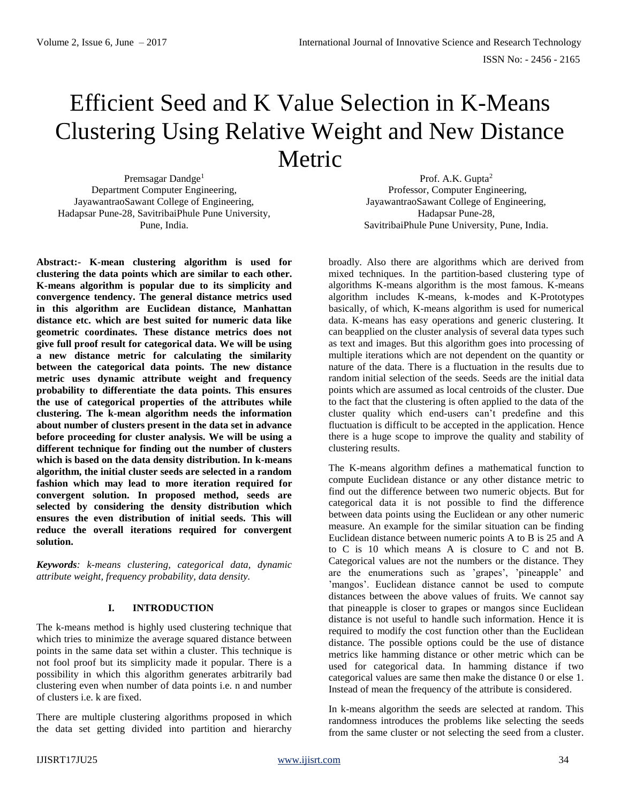# Efficient Seed and K Value Selection in K-Means Clustering Using Relative Weight and New Distance Metric

Premsagar Dandge<sup>1</sup> Department Computer Engineering, JayawantraoSawant College of Engineering, Hadapsar Pune-28, SavitribaiPhule Pune University, Pune, India.

**Abstract:- K-mean clustering algorithm is used for clustering the data points which are similar to each other. K-means algorithm is popular due to its simplicity and convergence tendency. The general distance metrics used in this algorithm are Euclidean distance, Manhattan distance etc. which are best suited for numeric data like geometric coordinates. These distance metrics does not give full proof result for categorical data. We will be using a new distance metric for calculating the similarity between the categorical data points. The new distance metric uses dynamic attribute weight and frequency probability to differentiate the data points. This ensures the use of categorical properties of the attributes while clustering. The k-mean algorithm needs the information about number of clusters present in the data set in advance before proceeding for cluster analysis. We will be using a different technique for finding out the number of clusters which is based on the data density distribution. In k-means algorithm, the initial cluster seeds are selected in a random fashion which may lead to more iteration required for convergent solution. In proposed method, seeds are selected by considering the density distribution which ensures the even distribution of initial seeds. This will reduce the overall iterations required for convergent solution.**

*Keywords: k-means clustering, categorical data, dynamic attribute weight, frequency probability, data density.*

## **I. INTRODUCTION**

The k-means method is highly used clustering technique that which tries to minimize the average squared distance between points in the same data set within a cluster. This technique is not fool proof but its simplicity made it popular. There is a possibility in which this algorithm generates arbitrarily bad clustering even when number of data points i.e. n and number of clusters i.e. k are fixed.

There are multiple clustering algorithms proposed in which the data set getting divided into partition and hierarchy

Prof. A.K. Gupta<sup>2</sup> Professor, Computer Engineering, JayawantraoSawant College of Engineering, Hadapsar Pune-28, SavitribaiPhule Pune University, Pune, India.

broadly. Also there are algorithms which are derived from mixed techniques. In the partition-based clustering type of algorithms K-means algorithm is the most famous. K-means algorithm includes K-means, k-modes and K-Prototypes basically, of which, K-means algorithm is used for numerical data. K-means has easy operations and generic clustering. It can beapplied on the cluster analysis of several data types such as text and images. But this algorithm goes into processing of multiple iterations which are not dependent on the quantity or nature of the data. There is a fluctuation in the results due to random initial selection of the seeds. Seeds are the initial data points which are assumed as local centroids of the cluster. Due to the fact that the clustering is often applied to the data of the cluster quality which end-users can't predefine and this fluctuation is difficult to be accepted in the application. Hence there is a huge scope to improve the quality and stability of clustering results.

The K-means algorithm defines a mathematical function to compute Euclidean distance or any other distance metric to find out the difference between two numeric objects. But for categorical data it is not possible to find the difference between data points using the Euclidean or any other numeric measure. An example for the similar situation can be finding Euclidean distance between numeric points A to B is 25 and A to C is 10 which means A is closure to C and not B. Categorical values are not the numbers or the distance. They are the enumerations such as 'grapes', 'pineapple' and 'mangos'. Euclidean distance cannot be used to compute distances between the above values of fruits. We cannot say that pineapple is closer to grapes or mangos since Euclidean distance is not useful to handle such information. Hence it is required to modify the cost function other than the Euclidean distance. The possible options could be the use of distance metrics like hamming distance or other metric which can be used for categorical data. In hamming distance if two categorical values are same then make the distance 0 or else 1. Instead of mean the frequency of the attribute is considered.

In k-means algorithm the seeds are selected at random. This randomness introduces the problems like selecting the seeds from the same cluster or not selecting the seed from a cluster.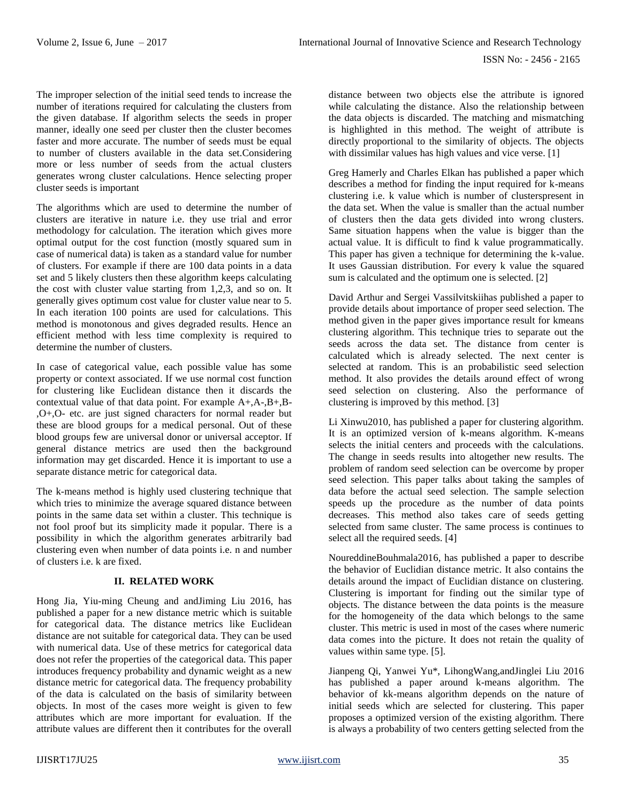The improper selection of the initial seed tends to increase the number of iterations required for calculating the clusters from the given database. If algorithm selects the seeds in proper manner, ideally one seed per cluster then the cluster becomes faster and more accurate. The number of seeds must be equal to number of clusters available in the data set.Considering more or less number of seeds from the actual clusters generates wrong cluster calculations. Hence selecting proper cluster seeds is important

The algorithms which are used to determine the number of clusters are iterative in nature i.e. they use trial and error methodology for calculation. The iteration which gives more optimal output for the cost function (mostly squared sum in case of numerical data) is taken as a standard value for number of clusters. For example if there are 100 data points in a data set and 5 likely clusters then these algorithm keeps calculating the cost with cluster value starting from 1,2,3, and so on. It generally gives optimum cost value for cluster value near to 5. In each iteration 100 points are used for calculations. This method is monotonous and gives degraded results. Hence an efficient method with less time complexity is required to determine the number of clusters.

In case of categorical value, each possible value has some property or context associated. If we use normal cost function for clustering like Euclidean distance then it discards the contextual value of that data point. For example A+,A-,B+,B- ,O+,O- etc. are just signed characters for normal reader but these are blood groups for a medical personal. Out of these blood groups few are universal donor or universal acceptor. If general distance metrics are used then the background information may get discarded. Hence it is important to use a separate distance metric for categorical data.

The k-means method is highly used clustering technique that which tries to minimize the average squared distance between points in the same data set within a cluster. This technique is not fool proof but its simplicity made it popular. There is a possibility in which the algorithm generates arbitrarily bad clustering even when number of data points i.e. n and number of clusters i.e. k are fixed.

## **II. RELATED WORK**

Hong Jia, Yiu-ming Cheung and andJiming Liu 2016, has published a paper for a new distance metric which is suitable for categorical data. The distance metrics like Euclidean distance are not suitable for categorical data. They can be used with numerical data. Use of these metrics for categorical data does not refer the properties of the categorical data. This paper introduces frequency probability and dynamic weight as a new distance metric for categorical data. The frequency probability of the data is calculated on the basis of similarity between objects. In most of the cases more weight is given to few attributes which are more important for evaluation. If the attribute values are different then it contributes for the overall

distance between two objects else the attribute is ignored while calculating the distance. Also the relationship between the data objects is discarded. The matching and mismatching is highlighted in this method. The weight of attribute is directly proportional to the similarity of objects. The objects with dissimilar values has high values and vice verse. [1]

Greg Hamerly and Charles Elkan has published a paper which describes a method for finding the input required for k-means clustering i.e. k value which is number of clusterspresent in the data set. When the value is smaller than the actual number of clusters then the data gets divided into wrong clusters. Same situation happens when the value is bigger than the actual value. It is difficult to find k value programmatically. This paper has given a technique for determining the k-value. It uses Gaussian distribution. For every k value the squared sum is calculated and the optimum one is selected. [2]

David Arthur and Sergei Vassilvitskiihas published a paper to provide details about importance of proper seed selection. The method given in the paper gives importance result for kmeans clustering algorithm. This technique tries to separate out the seeds across the data set. The distance from center is calculated which is already selected. The next center is selected at random. This is an probabilistic seed selection method. It also provides the details around effect of wrong seed selection on clustering. Also the performance of clustering is improved by this method. [3]

Li Xinwu2010, has published a paper for clustering algorithm. It is an optimized version of k-means algorithm. K-means selects the initial centers and proceeds with the calculations. The change in seeds results into altogether new results. The problem of random seed selection can be overcome by proper seed selection. This paper talks about taking the samples of data before the actual seed selection. The sample selection speeds up the procedure as the number of data points decreases. This method also takes care of seeds getting selected from same cluster. The same process is continues to select all the required seeds. [4]

NoureddineBouhmala2016, has published a paper to describe the behavior of Euclidian distance metric. It also contains the details around the impact of Euclidian distance on clustering. Clustering is important for finding out the similar type of objects. The distance between the data points is the measure for the homogeneity of the data which belongs to the same cluster. This metric is used in most of the cases where numeric data comes into the picture. It does not retain the quality of values within same type. [5].

Jianpeng Qi, Yanwei Yu\*, LihongWang,andJinglei Liu 2016 has published a paper around k-means algorithm. The behavior of kk-means algorithm depends on the nature of initial seeds which are selected for clustering. This paper proposes a optimized version of the existing algorithm. There is always a probability of two centers getting selected from the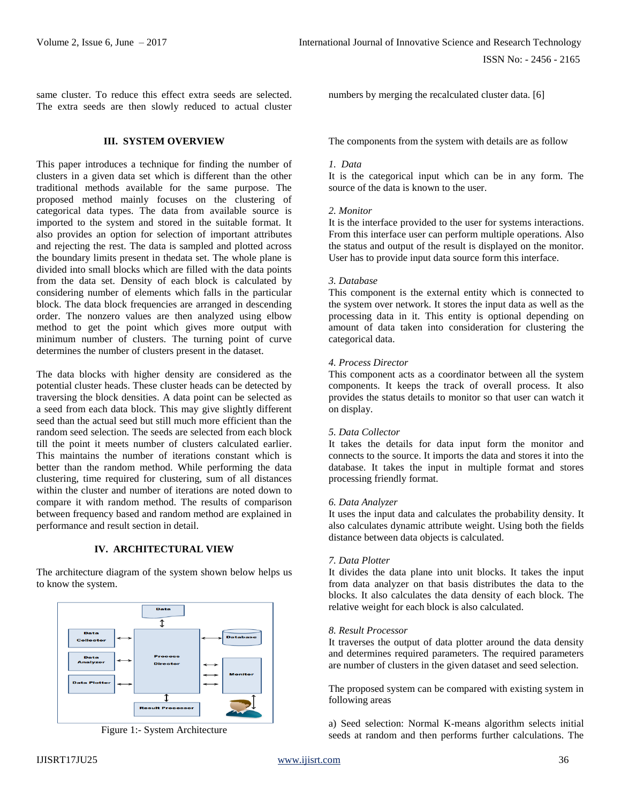same cluster. To reduce this effect extra seeds are selected. The extra seeds are then slowly reduced to actual cluster

#### **III. SYSTEM OVERVIEW**

This paper introduces a technique for finding the number of clusters in a given data set which is different than the other traditional methods available for the same purpose. The proposed method mainly focuses on the clustering of categorical data types. The data from available source is imported to the system and stored in the suitable format. It also provides an option for selection of important attributes and rejecting the rest. The data is sampled and plotted across the boundary limits present in thedata set. The whole plane is divided into small blocks which are filled with the data points from the data set. Density of each block is calculated by considering number of elements which falls in the particular block. The data block frequencies are arranged in descending order. The nonzero values are then analyzed using elbow method to get the point which gives more output with minimum number of clusters. The turning point of curve determines the number of clusters present in the dataset.

The data blocks with higher density are considered as the potential cluster heads. These cluster heads can be detected by traversing the block densities. A data point can be selected as a seed from each data block. This may give slightly different seed than the actual seed but still much more efficient than the random seed selection. The seeds are selected from each block till the point it meets number of clusters calculated earlier. This maintains the number of iterations constant which is better than the random method. While performing the data clustering, time required for clustering, sum of all distances within the cluster and number of iterations are noted down to compare it with random method. The results of comparison between frequency based and random method are explained in performance and result section in detail.

## **IV. ARCHITECTURAL VIEW**

The architecture diagram of the system shown below helps us to know the system.



Figure 1:- System Architecture

numbers by merging the recalculated cluster data. [6]

The components from the system with details are as follow

#### *1. Data*

It is the categorical input which can be in any form. The source of the data is known to the user.

#### *2. Monitor*

It is the interface provided to the user for systems interactions. From this interface user can perform multiple operations. Also the status and output of the result is displayed on the monitor. User has to provide input data source form this interface.

#### *3. Database*

This component is the external entity which is connected to the system over network. It stores the input data as well as the processing data in it. This entity is optional depending on amount of data taken into consideration for clustering the categorical data.

#### *4. Process Director*

This component acts as a coordinator between all the system components. It keeps the track of overall process. It also provides the status details to monitor so that user can watch it on display.

## *5. Data Collector*

It takes the details for data input form the monitor and connects to the source. It imports the data and stores it into the database. It takes the input in multiple format and stores processing friendly format.

#### *6. Data Analyzer*

It uses the input data and calculates the probability density. It also calculates dynamic attribute weight. Using both the fields distance between data objects is calculated.

#### *7. Data Plotter*

It divides the data plane into unit blocks. It takes the input from data analyzer on that basis distributes the data to the blocks. It also calculates the data density of each block. The relative weight for each block is also calculated.

#### *8. Result Processor*

It traverses the output of data plotter around the data density and determines required parameters. The required parameters are number of clusters in the given dataset and seed selection.

The proposed system can be compared with existing system in following areas

a) Seed selection: Normal K-means algorithm selects initial seeds at random and then performs further calculations. The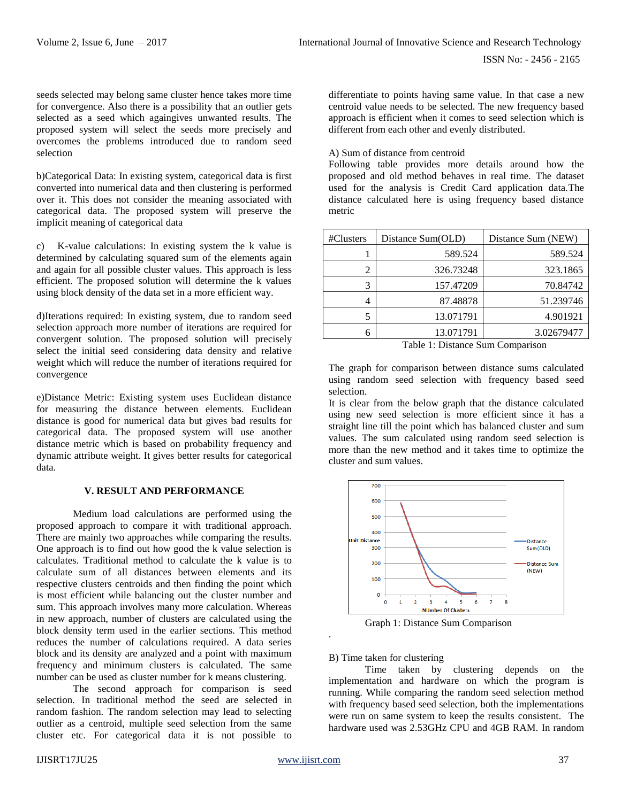seeds selected may belong same cluster hence takes more time for convergence. Also there is a possibility that an outlier gets selected as a seed which againgives unwanted results. The proposed system will select the seeds more precisely and overcomes the problems introduced due to random seed selection

b)Categorical Data: In existing system, categorical data is first converted into numerical data and then clustering is performed over it. This does not consider the meaning associated with categorical data. The proposed system will preserve the implicit meaning of categorical data

c) K-value calculations: In existing system the k value is determined by calculating squared sum of the elements again and again for all possible cluster values. This approach is less efficient. The proposed solution will determine the k values using block density of the data set in a more efficient way.

d)Iterations required: In existing system, due to random seed selection approach more number of iterations are required for convergent solution. The proposed solution will precisely select the initial seed considering data density and relative weight which will reduce the number of iterations required for convergence

e)Distance Metric: Existing system uses Euclidean distance for measuring the distance between elements. Euclidean distance is good for numerical data but gives bad results for categorical data. The proposed system will use another distance metric which is based on probability frequency and dynamic attribute weight. It gives better results for categorical data.

### **V. RESULT AND PERFORMANCE**

Medium load calculations are performed using the proposed approach to compare it with traditional approach. There are mainly two approaches while comparing the results. One approach is to find out how good the k value selection is calculates. Traditional method to calculate the k value is to calculate sum of all distances between elements and its respective clusters centroids and then finding the point which is most efficient while balancing out the cluster number and sum. This approach involves many more calculation. Whereas in new approach, number of clusters are calculated using the block density term used in the earlier sections. This method reduces the number of calculations required. A data series block and its density are analyzed and a point with maximum frequency and minimum clusters is calculated. The same number can be used as cluster number for k means clustering.

The second approach for comparison is seed selection. In traditional method the seed are selected in random fashion. The random selection may lead to selecting outlier as a centroid, multiple seed selection from the same cluster etc. For categorical data it is not possible to

differentiate to points having same value. In that case a new centroid value needs to be selected. The new frequency based approach is efficient when it comes to seed selection which is different from each other and evenly distributed.

A) Sum of distance from centroid

Following table provides more details around how the proposed and old method behaves in real time. The dataset used for the analysis is Credit Card application data.The distance calculated here is using frequency based distance metric

| #Clusters | Distance Sum(OLD) | Distance Sum (NEW) |
|-----------|-------------------|--------------------|
|           | 589.524           | 589.524            |
| 2         | 326.73248         | 323.1865           |
| 3         | 157.47209         | 70.84742           |
| 4         | 87.48878          | 51.239746          |
| 5         | 13.071791         | 4.901921           |
| 6         | 13.071791         | 3.02679477         |

Table 1: Distance Sum Comparison

The graph for comparison between distance sums calculated using random seed selection with frequency based seed selection.

It is clear from the below graph that the distance calculated using new seed selection is more efficient since it has a straight line till the point which has balanced cluster and sum values. The sum calculated using random seed selection is more than the new method and it takes time to optimize the cluster and sum values.



Graph 1: Distance Sum Comparison

B) Time taken for clustering

Time taken by clustering depends on the implementation and hardware on which the program is running. While comparing the random seed selection method with frequency based seed selection, both the implementations were run on same system to keep the results consistent. The hardware used was 2.53GHz CPU and 4GB RAM. In random

.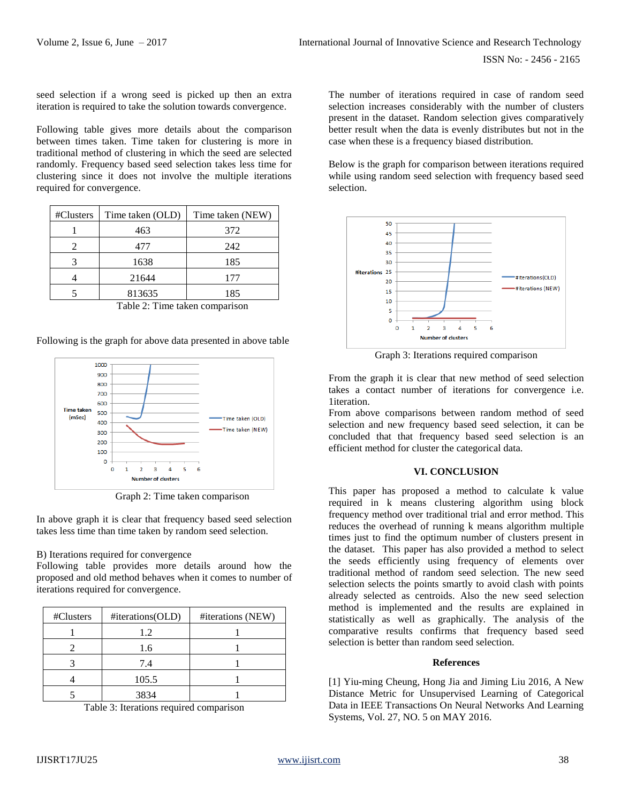seed selection if a wrong seed is picked up then an extra iteration is required to take the solution towards convergence.

Following table gives more details about the comparison between times taken. Time taken for clustering is more in traditional method of clustering in which the seed are selected randomly. Frequency based seed selection takes less time for clustering since it does not involve the multiple iterations required for convergence.

| #Clusters | Time taken (OLD) | Time taken (NEW) |
|-----------|------------------|------------------|
|           | 463              | 372              |
|           | 477              | 242              |
|           | 1638             | 185              |
|           | 21644            | 177              |
|           | 813635           | 185              |

Table 2: Time taken comparison

Following is the graph for above data presented in above table



Graph 2: Time taken comparison

In above graph it is clear that frequency based seed selection takes less time than time taken by random seed selection.

## B) Iterations required for convergence

Following table provides more details around how the proposed and old method behaves when it comes to number of iterations required for convergence.

| #Clusters | #iterations(OLD) | #iterations (NEW) |
|-----------|------------------|-------------------|
|           | 1.2              |                   |
|           | 1.6              |                   |
|           | 7.4              |                   |
|           | 105.5            |                   |
|           | 3834             |                   |

Table 3: Iterations required comparison

The number of iterations required in case of random seed selection increases considerably with the number of clusters present in the dataset. Random selection gives comparatively better result when the data is evenly distributes but not in the case when these is a frequency biased distribution.

Below is the graph for comparison between iterations required while using random seed selection with frequency based seed selection.



Graph 3: Iterations required comparison

From the graph it is clear that new method of seed selection takes a contact number of iterations for convergence i.e. 1iteration.

From above comparisons between random method of seed selection and new frequency based seed selection, it can be concluded that that frequency based seed selection is an efficient method for cluster the categorical data.

## **VI. CONCLUSION**

This paper has proposed a method to calculate k value required in k means clustering algorithm using block frequency method over traditional trial and error method. This reduces the overhead of running k means algorithm multiple times just to find the optimum number of clusters present in the dataset. This paper has also provided a method to select the seeds efficiently using frequency of elements over traditional method of random seed selection. The new seed selection selects the points smartly to avoid clash with points already selected as centroids. Also the new seed selection method is implemented and the results are explained in statistically as well as graphically. The analysis of the comparative results confirms that frequency based seed selection is better than random seed selection.

## **References**

[1] Yiu-ming Cheung, Hong Jia and Jiming Liu 2016, A New Distance Metric for Unsupervised Learning of Categorical Data in IEEE Transactions On Neural Networks And Learning Systems, Vol. 27, NO. 5 on MAY 2016.